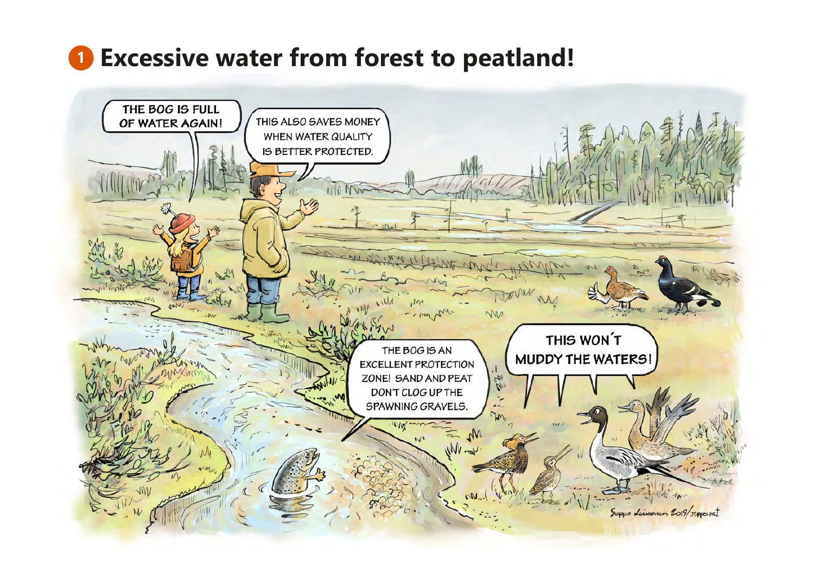# **Excessive water from forest to peatland!**